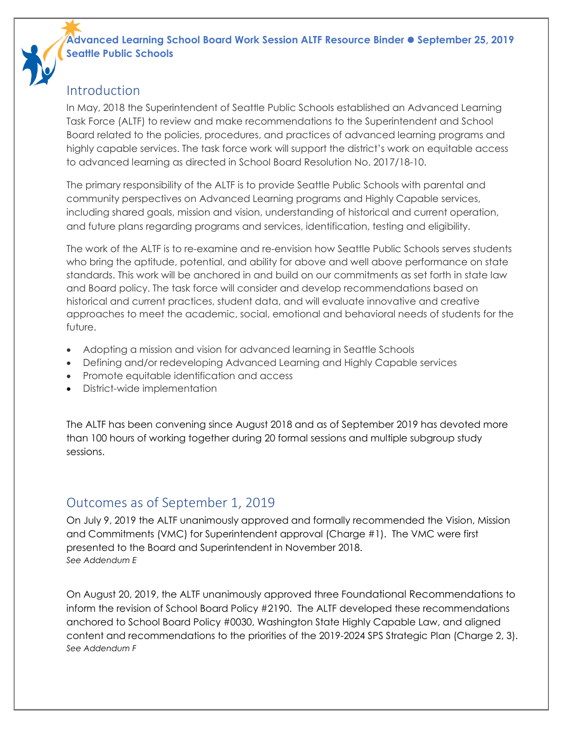### **Advanced Learning School Board Work Session ALTF Resource Binder September 25, 2019 Seattle Public Schools**

## Introduction

In May, 2018 the Superintendent of Seattle Public Schools established an Advanced Learning Task Force (ALTF) to review and make recommendations to the Superintendent and School Board related to the policies, procedures, and practices of advanced learning programs and highly capable services. The task force work will support the district's work on equitable access to advanced learning as directed in [School Board Resolution No. 2017/18-10.](https://www.seattleschools.org/UserFiles/Servers/Server_543/File/District/Departments/School%20Board/17-18%20agendas/20180131/A01_20180131_Resolution_HC_Substitute.pdf)

The primary responsibility of the ALTF is to provide Seattle Public Schools with parental and community perspectives on Advanced Learning programs and Highly Capable services, including shared goals, mission and vision, understanding of historical and current operation, and future plans regarding programs and services, identification, testing and eligibility.

The work of the ALTF is to re-examine and re-envision how Seattle Public Schools serves students who bring the aptitude, potential, and ability for above and well above performance on state standards. This work will be anchored in and build on our commitments as set forth in state law and Board policy. The task force will consider and develop recommendations based on historical and current practices, student data, and will evaluate innovative and creative approaches to meet the academic, social, emotional and behavioral needs of students for the future.

- Adopting a mission and vision for advanced learning in Seattle Schools
- Defining and/or redeveloping Advanced Learning and Highly Capable services
- Promote equitable identification and access
- District-wide implementation

The ALTF has been convening since August 2018 and as of September 2019 has devoted more than 100 hours of working together during 20 formal sessions and multiple subgroup study sessions.

# Outcomes as of September 1, 2019

On July 9, 2019 the ALTF unanimously approved and formally recommended the Vision, Mission and Commitments (VMC) for Superintendent approval (Charge #1). The VMC were first presented to the Board and Superintendent in November 2018. *See Addendum E*

On August 20, 2019, the ALTF unanimously approved three Foundational Recommendations to inform the revision of School Board Policy #2190. The ALTF developed these recommendations anchored to School Board Policy #0030, Washington State Highly Capable Law, and aligned content and recommendations to the priorities of the 2019-2024 SPS Strategic Plan (Charge 2, 3). *See Addendum F*